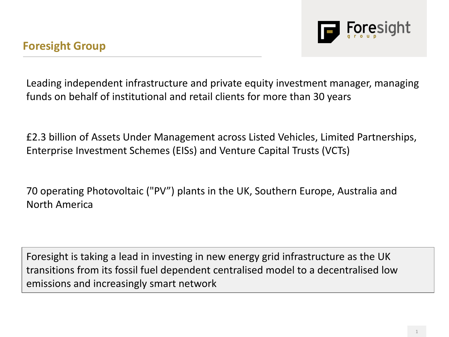Leading independent infrastructure and private equity investment manager, managing funds on behalf of institutional and retail clients for more than 30 years

£2.3 billion of Assets Under Management across Listed Vehicles, Limited Partnerships, Enterprise Investment Schemes (EISs) and Venture Capital Trusts (VCTs)

70 operating Photovoltaic ("PV") plants in the UK, Southern Europe, Australia and North America

Foresight is taking a lead in investing in new energy grid infrastructure as the UK transitions from its fossil fuel dependent centralised model to a decentralised low emissions and increasingly smart network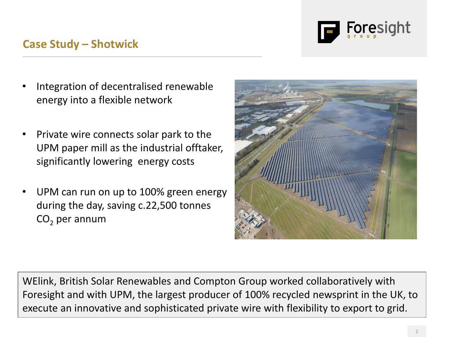

## **Case Study – Shotwick**

- Integration of decentralised renewable energy into a flexible network
- Private wire connects solar park to the UPM paper mill as the industrial offtaker, significantly lowering energy costs
- UPM can run on up to 100% green energy during the day, saving c.22,500 tonnes  $CO<sub>2</sub>$  per annum



WElink, British Solar Renewables and Compton Group worked collaboratively with Foresight and with UPM, the largest producer of 100% recycled newsprint in the UK, to execute an innovative and sophisticated private wire with flexibility to export to grid.